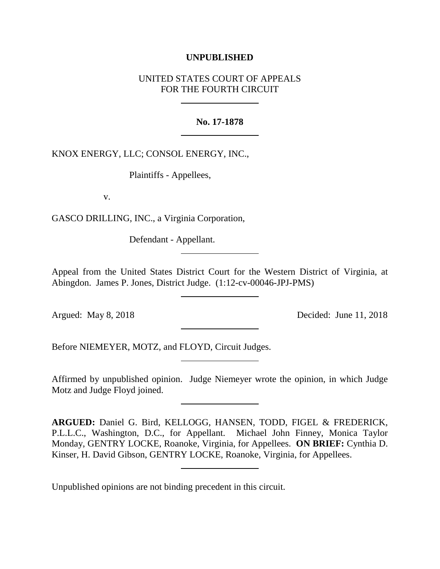### **UNPUBLISHED**

# UNITED STATES COURT OF APPEALS FOR THE FOURTH CIRCUIT

#### **No. 17-1878**

KNOX ENERGY, LLC; CONSOL ENERGY, INC.,

Plaintiffs - Appellees,

v.

GASCO DRILLING, INC., a Virginia Corporation,

Defendant - Appellant.

Appeal from the United States District Court for the Western District of Virginia, at Abingdon. James P. Jones, District Judge. (1:12-cv-00046-JPJ-PMS)

Argued: May 8, 2018 Decided: June 11, 2018

Before NIEMEYER, MOTZ, and FLOYD, Circuit Judges.

Affirmed by unpublished opinion. Judge Niemeyer wrote the opinion, in which Judge Motz and Judge Floyd joined.

**ARGUED:** Daniel G. Bird, KELLOGG, HANSEN, TODD, FIGEL & FREDERICK, P.L.L.C., Washington, D.C., for Appellant. Michael John Finney, Monica Taylor Monday, GENTRY LOCKE, Roanoke, Virginia, for Appellees. **ON BRIEF:** Cynthia D. Kinser, H. David Gibson, GENTRY LOCKE, Roanoke, Virginia, for Appellees.

Unpublished opinions are not binding precedent in this circuit.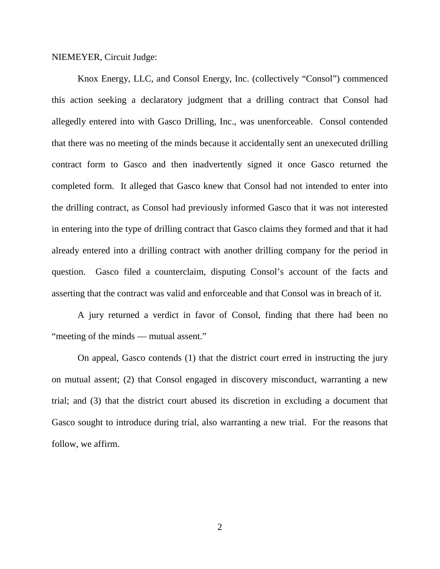#### NIEMEYER, Circuit Judge:

Knox Energy, LLC, and Consol Energy, Inc. (collectively "Consol") commenced this action seeking a declaratory judgment that a drilling contract that Consol had allegedly entered into with Gasco Drilling, Inc., was unenforceable. Consol contended that there was no meeting of the minds because it accidentally sent an unexecuted drilling contract form to Gasco and then inadvertently signed it once Gasco returned the completed form. It alleged that Gasco knew that Consol had not intended to enter into the drilling contract, as Consol had previously informed Gasco that it was not interested in entering into the type of drilling contract that Gasco claims they formed and that it had already entered into a drilling contract with another drilling company for the period in question. Gasco filed a counterclaim, disputing Consol's account of the facts and asserting that the contract was valid and enforceable and that Consol was in breach of it.

A jury returned a verdict in favor of Consol, finding that there had been no "meeting of the minds — mutual assent."

On appeal, Gasco contends (1) that the district court erred in instructing the jury on mutual assent; (2) that Consol engaged in discovery misconduct, warranting a new trial; and (3) that the district court abused its discretion in excluding a document that Gasco sought to introduce during trial, also warranting a new trial. For the reasons that follow, we affirm.

2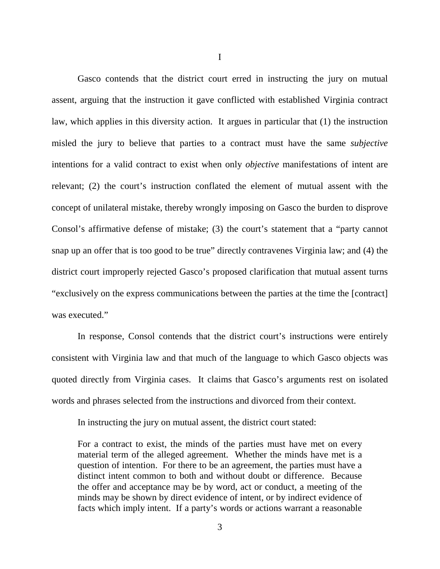Gasco contends that the district court erred in instructing the jury on mutual assent, arguing that the instruction it gave conflicted with established Virginia contract law, which applies in this diversity action. It argues in particular that (1) the instruction misled the jury to believe that parties to a contract must have the same *subjective* intentions for a valid contract to exist when only *objective* manifestations of intent are relevant; (2) the court's instruction conflated the element of mutual assent with the concept of unilateral mistake, thereby wrongly imposing on Gasco the burden to disprove Consol's affirmative defense of mistake; (3) the court's statement that a "party cannot snap up an offer that is too good to be true" directly contravenes Virginia law; and (4) the district court improperly rejected Gasco's proposed clarification that mutual assent turns "exclusively on the express communications between the parties at the time the [contract] was executed."

In response, Consol contends that the district court's instructions were entirely consistent with Virginia law and that much of the language to which Gasco objects was quoted directly from Virginia cases. It claims that Gasco's arguments rest on isolated words and phrases selected from the instructions and divorced from their context.

In instructing the jury on mutual assent, the district court stated:

For a contract to exist, the minds of the parties must have met on every material term of the alleged agreement. Whether the minds have met is a question of intention. For there to be an agreement, the parties must have a distinct intent common to both and without doubt or difference. Because the offer and acceptance may be by word, act or conduct, a meeting of the minds may be shown by direct evidence of intent, or by indirect evidence of facts which imply intent. If a party's words or actions warrant a reasonable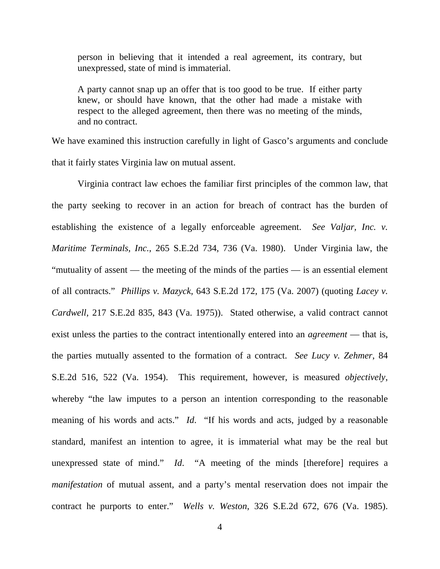person in believing that it intended a real agreement, its contrary, but unexpressed, state of mind is immaterial.

A party cannot snap up an offer that is too good to be true. If either party knew, or should have known, that the other had made a mistake with respect to the alleged agreement, then there was no meeting of the minds, and no contract.

We have examined this instruction carefully in light of Gasco's arguments and conclude that it fairly states Virginia law on mutual assent.

Virginia contract law echoes the familiar first principles of the common law, that the party seeking to recover in an action for breach of contract has the burden of establishing the existence of a legally enforceable agreement. *See Valjar, Inc. v. Maritime Terminals, Inc.*, 265 S.E.2d 734, 736 (Va. 1980). Under Virginia law, the "mutuality of assent — the meeting of the minds of the parties — is an essential element of all contracts." *Phillips v. Mazyck*, 643 S.E.2d 172, 175 (Va. 2007) (quoting *Lacey v. Cardwell*, 217 S.E.2d 835, 843 (Va. 1975)). Stated otherwise, a valid contract cannot exist unless the parties to the contract intentionally entered into an *agreement* — that is, the parties mutually assented to the formation of a contract. *See Lucy v. Zehmer*, 84 S.E.2d 516, 522 (Va. 1954). This requirement, however, is measured *objectively*, whereby "the law imputes to a person an intention corresponding to the reasonable meaning of his words and acts." *Id*. "If his words and acts, judged by a reasonable standard, manifest an intention to agree, it is immaterial what may be the real but unexpressed state of mind." *Id*. "A meeting of the minds [therefore] requires a *manifestation* of mutual assent, and a party's mental reservation does not impair the contract he purports to enter." *Wells v. Weston*, 326 S.E.2d 672, 676 (Va. 1985).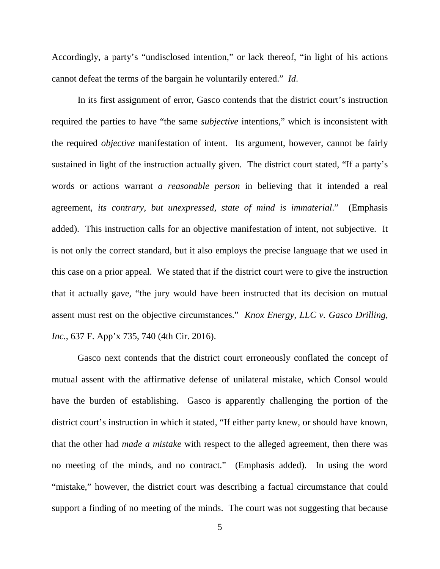Accordingly, a party's "undisclosed intention," or lack thereof, "in light of his actions cannot defeat the terms of the bargain he voluntarily entered." *Id*.

In its first assignment of error, Gasco contends that the district court's instruction required the parties to have "the same *subjective* intentions," which is inconsistent with the required *objective* manifestation of intent. Its argument, however, cannot be fairly sustained in light of the instruction actually given. The district court stated, "If a party's words or actions warrant *a reasonable person* in believing that it intended a real agreement, *its contrary, but unexpressed, state of mind is immaterial*." (Emphasis added). This instruction calls for an objective manifestation of intent, not subjective. It is not only the correct standard, but it also employs the precise language that we used in this case on a prior appeal. We stated that if the district court were to give the instruction that it actually gave, "the jury would have been instructed that its decision on mutual assent must rest on the objective circumstances." *Knox Energy, LLC v. Gasco Drilling, Inc.*, 637 F. App'x 735, 740 (4th Cir. 2016).

Gasco next contends that the district court erroneously conflated the concept of mutual assent with the affirmative defense of unilateral mistake, which Consol would have the burden of establishing. Gasco is apparently challenging the portion of the district court's instruction in which it stated, "If either party knew, or should have known, that the other had *made a mistake* with respect to the alleged agreement, then there was no meeting of the minds, and no contract." (Emphasis added). In using the word "mistake," however, the district court was describing a factual circumstance that could support a finding of no meeting of the minds. The court was not suggesting that because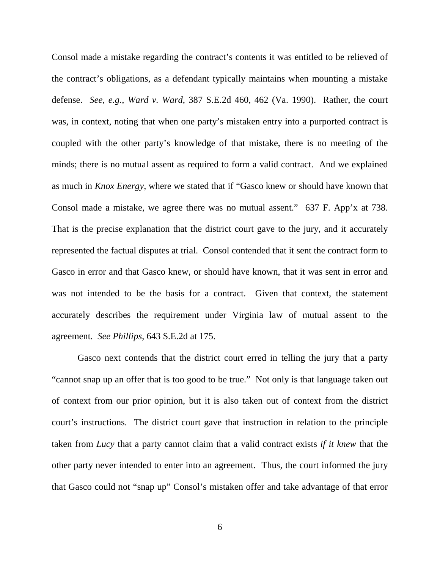Consol made a mistake regarding the contract's contents it was entitled to be relieved of the contract's obligations, as a defendant typically maintains when mounting a mistake defense. *See, e.g.*, *Ward v. Ward*, 387 S.E.2d 460, 462 (Va. 1990). Rather, the court was, in context, noting that when one party's mistaken entry into a purported contract is coupled with the other party's knowledge of that mistake, there is no meeting of the minds; there is no mutual assent as required to form a valid contract. And we explained as much in *Knox Energy*, where we stated that if "Gasco knew or should have known that Consol made a mistake, we agree there was no mutual assent." 637 F. App'x at 738. That is the precise explanation that the district court gave to the jury, and it accurately represented the factual disputes at trial. Consol contended that it sent the contract form to Gasco in error and that Gasco knew, or should have known, that it was sent in error and was not intended to be the basis for a contract. Given that context, the statement accurately describes the requirement under Virginia law of mutual assent to the agreement. *See Phillips*, 643 S.E.2d at 175.

Gasco next contends that the district court erred in telling the jury that a party "cannot snap up an offer that is too good to be true." Not only is that language taken out of context from our prior opinion, but it is also taken out of context from the district court's instructions. The district court gave that instruction in relation to the principle taken from *Lucy* that a party cannot claim that a valid contract exists *if it knew* that the other party never intended to enter into an agreement. Thus, the court informed the jury that Gasco could not "snap up" Consol's mistaken offer and take advantage of that error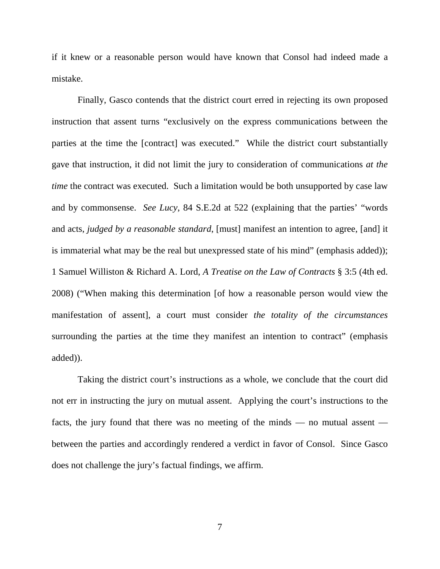if it knew or a reasonable person would have known that Consol had indeed made a mistake.

Finally, Gasco contends that the district court erred in rejecting its own proposed instruction that assent turns "exclusively on the express communications between the parties at the time the [contract] was executed." While the district court substantially gave that instruction, it did not limit the jury to consideration of communications *at the time* the contract was executed. Such a limitation would be both unsupported by case law and by commonsense. *See Lucy*, 84 S.E.2d at 522 (explaining that the parties' "words and acts, *judged by a reasonable standard*, [must] manifest an intention to agree, [and] it is immaterial what may be the real but unexpressed state of his mind" (emphasis added)); 1 Samuel Williston & Richard A. Lord, *A Treatise on the Law of Contracts* § 3:5 (4th ed. 2008) ("When making this determination [of how a reasonable person would view the manifestation of assent], a court must consider *the totality of the circumstances* surrounding the parties at the time they manifest an intention to contract" (emphasis added)).

Taking the district court's instructions as a whole, we conclude that the court did not err in instructing the jury on mutual assent. Applying the court's instructions to the facts, the jury found that there was no meeting of the minds — no mutual assent between the parties and accordingly rendered a verdict in favor of Consol. Since Gasco does not challenge the jury's factual findings, we affirm.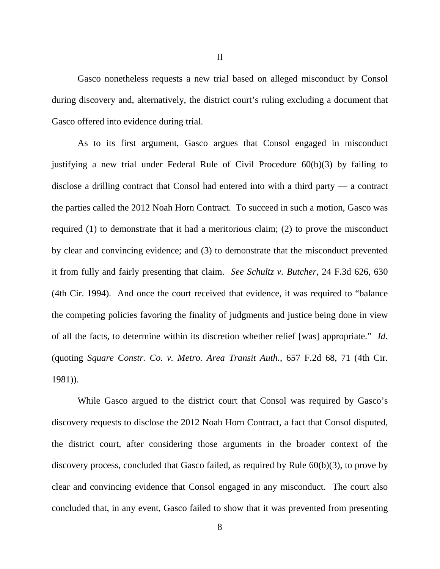Gasco nonetheless requests a new trial based on alleged misconduct by Consol during discovery and, alternatively, the district court's ruling excluding a document that Gasco offered into evidence during trial.

As to its first argument, Gasco argues that Consol engaged in misconduct justifying a new trial under Federal Rule of Civil Procedure 60(b)(3) by failing to disclose a drilling contract that Consol had entered into with a third party — a contract the parties called the 2012 Noah Horn Contract. To succeed in such a motion, Gasco was required (1) to demonstrate that it had a meritorious claim; (2) to prove the misconduct by clear and convincing evidence; and (3) to demonstrate that the misconduct prevented it from fully and fairly presenting that claim. *See Schultz v. Butcher*, 24 F.3d 626, 630 (4th Cir. 1994). And once the court received that evidence, it was required to "balance the competing policies favoring the finality of judgments and justice being done in view of all the facts, to determine within its discretion whether relief [was] appropriate." *Id*. (quoting *Square Constr. Co. v. Metro. Area Transit Auth.*, 657 F.2d 68, 71 (4th Cir. 1981)).

While Gasco argued to the district court that Consol was required by Gasco's discovery requests to disclose the 2012 Noah Horn Contract, a fact that Consol disputed, the district court, after considering those arguments in the broader context of the discovery process, concluded that Gasco failed, as required by Rule 60(b)(3), to prove by clear and convincing evidence that Consol engaged in any misconduct. The court also concluded that, in any event, Gasco failed to show that it was prevented from presenting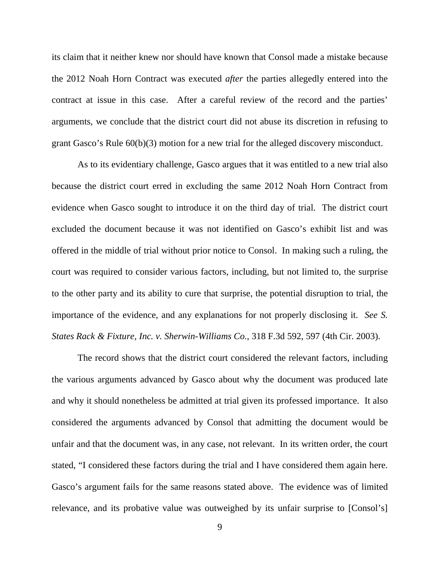its claim that it neither knew nor should have known that Consol made a mistake because the 2012 Noah Horn Contract was executed *after* the parties allegedly entered into the contract at issue in this case. After a careful review of the record and the parties' arguments, we conclude that the district court did not abuse its discretion in refusing to grant Gasco's Rule 60(b)(3) motion for a new trial for the alleged discovery misconduct.

As to its evidentiary challenge, Gasco argues that it was entitled to a new trial also because the district court erred in excluding the same 2012 Noah Horn Contract from evidence when Gasco sought to introduce it on the third day of trial. The district court excluded the document because it was not identified on Gasco's exhibit list and was offered in the middle of trial without prior notice to Consol. In making such a ruling, the court was required to consider various factors, including, but not limited to, the surprise to the other party and its ability to cure that surprise, the potential disruption to trial, the importance of the evidence, and any explanations for not properly disclosing it. *See S. States Rack & Fixture, Inc. v. Sherwin-Williams Co.*, 318 F.3d 592, 597 (4th Cir. 2003).

The record shows that the district court considered the relevant factors, including the various arguments advanced by Gasco about why the document was produced late and why it should nonetheless be admitted at trial given its professed importance. It also considered the arguments advanced by Consol that admitting the document would be unfair and that the document was, in any case, not relevant. In its written order, the court stated, "I considered these factors during the trial and I have considered them again here. Gasco's argument fails for the same reasons stated above. The evidence was of limited relevance, and its probative value was outweighed by its unfair surprise to [Consol's]